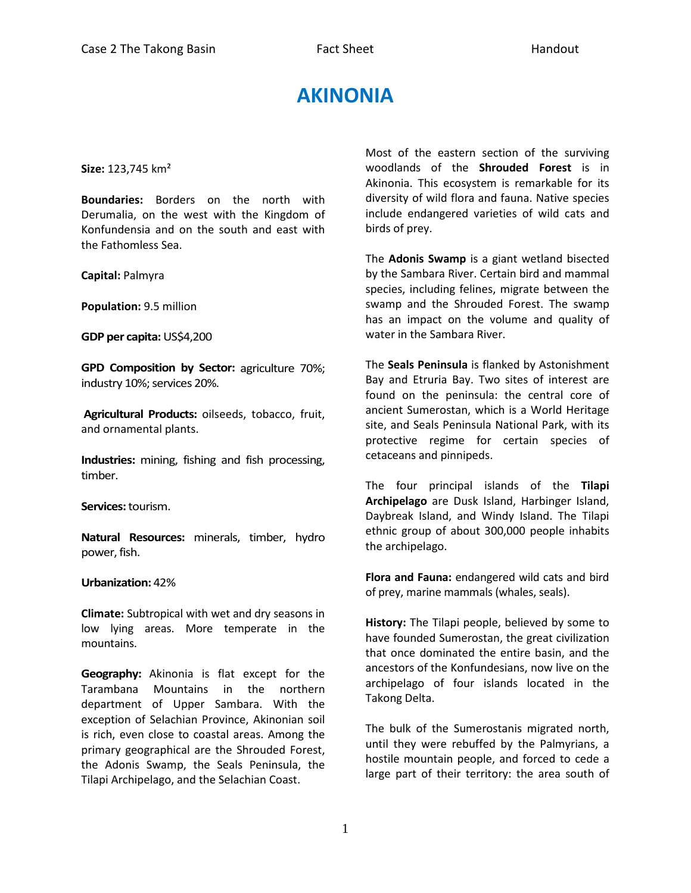## **AKINONIA**

**Size:** 123,745 km²

**Boundaries:** Borders on the north with Derumalia, on the west with the Kingdom of Konfundensia and on the south and east with the Fathomless Sea.

**Capital:** Palmyra

**Population:** 9.5 million

**GDP per capita:** US\$4,200

**GPD Composition by Sector:** agriculture 70%; industry 10%; services 20%.

**Agricultural Products:** oilseeds, tobacco, fruit, and ornamental plants.

**Industries:** mining, fishing and fish processing, timber.

**Services:** tourism.

**Natural Resources:** minerals, timber, hydro power, fish.

## **Urbanization:** 42%

**Climate:** Subtropical with wet and dry seasons in low lying areas. More temperate in the mountains.

**Geography:** Akinonia is flat except for the Tarambana Mountains in the northern department of Upper Sambara. With the exception of Selachian Province, Akinonian soil is rich, even close to coastal areas. Among the primary geographical are the Shrouded Forest, the Adonis Swamp, the Seals Peninsula, the Tilapi Archipelago, and the Selachian Coast.

Most of the eastern section of the surviving woodlands of the **Shrouded Forest** is in Akinonia. This ecosystem is remarkable for its diversity of wild flora and fauna. Native species include endangered varieties of wild cats and birds of prey.

The **Adonis Swamp** is a giant wetland bisected by the Sambara River. Certain bird and mammal species, including felines, migrate between the swamp and the Shrouded Forest. The swamp has an impact on the volume and quality of water in the Sambara River.

The **Seals Peninsula** is flanked by Astonishment Bay and Etruria Bay. Two sites of interest are found on the peninsula: the central core of ancient Sumerostan, which is a World Heritage site, and Seals Peninsula National Park, with its protective regime for certain species of cetaceans and pinnipeds.

The four principal islands of the **Tilapi Archipelago** are Dusk Island, Harbinger Island, Daybreak Island, and Windy Island. The Tilapi ethnic group of about 300,000 people inhabits the archipelago.

**Flora and Fauna:** endangered wild cats and bird of prey, marine mammals (whales, seals).

**History:** The Tilapi people, believed by some to have founded Sumerostan, the great civilization that once dominated the entire basin, and the ancestors of the Konfundesians, now live on the archipelago of four islands located in the Takong Delta.

The bulk of the Sumerostanis migrated north, until they were rebuffed by the Palmyrians, a hostile mountain people, and forced to cede a large part of their territory: the area south of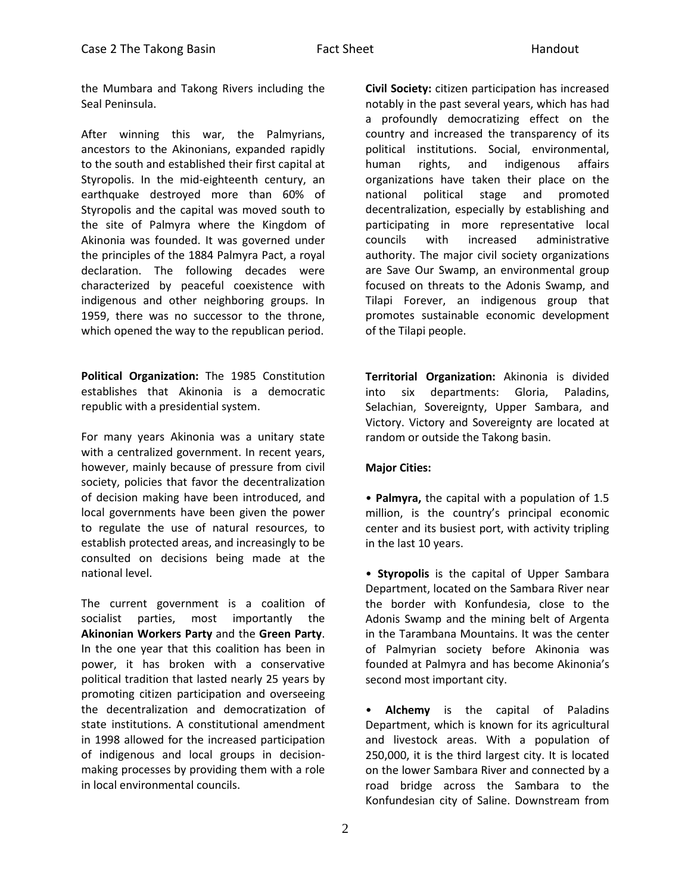the Mumbara and Takong Rivers including the Seal Peninsula.

After winning this war, the Palmyrians, ancestors to the Akinonians, expanded rapidly to the south and established their first capital at Styropolis. In the mid-eighteenth century, an earthquake destroyed more than 60% of Styropolis and the capital was moved south to the site of Palmyra where the Kingdom of Akinonia was founded. It was governed under the principles of the 1884 Palmyra Pact, a royal declaration. The following decades were characterized by peaceful coexistence with indigenous and other neighboring groups. In 1959, there was no successor to the throne, which opened the way to the republican period.

**Political Organization:** The 1985 Constitution establishes that Akinonia is a democratic republic with a presidential system.

For many years Akinonia was a unitary state with a centralized government. In recent years, however, mainly because of pressure from civil society, policies that favor the decentralization of decision making have been introduced, and local governments have been given the power to regulate the use of natural resources, to establish protected areas, and increasingly to be consulted on decisions being made at the national level.

The current government is a coalition of socialist parties, most importantly the **Akinonian Workers Party** and the **Green Party**. In the one year that this coalition has been in power, it has broken with a conservative political tradition that lasted nearly 25 years by promoting citizen participation and overseeing the decentralization and democratization of state institutions. A constitutional amendment in 1998 allowed for the increased participation of indigenous and local groups in decisionmaking processes by providing them with a role in local environmental councils.

**Civil Society:** citizen participation has increased notably in the past several years, which has had a profoundly democratizing effect on the country and increased the transparency of its political institutions. Social, environmental, human rights, and indigenous affairs organizations have taken their place on the national political stage and promoted decentralization, especially by establishing and participating in more representative local councils with increased administrative authority. The major civil society organizations are Save Our Swamp, an environmental group focused on threats to the Adonis Swamp, and Tilapi Forever, an indigenous group that promotes sustainable economic development of the Tilapi people.

**Territorial Organization:** Akinonia is divided into six departments: Gloria, Paladins, Selachian, Sovereignty, Upper Sambara, and Victory. Victory and Sovereignty are located at random or outside the Takong basin.

## **Major Cities:**

• **Palmyra,** the capital with a population of 1.5 million, is the country's principal economic center and its busiest port, with activity tripling in the last 10 years.

• **Styropolis** is the capital of Upper Sambara Department, located on the Sambara River near the border with Konfundesia, close to the Adonis Swamp and the mining belt of Argenta in the Tarambana Mountains. It was the center of Palmyrian society before Akinonia was founded at Palmyra and has become Akinonia's second most important city.

• **Alchemy** is the capital of Paladins Department, which is known for its agricultural and livestock areas. With a population of 250,000, it is the third largest city. It is located on the lower Sambara River and connected by a road bridge across the Sambara to the Konfundesian city of Saline. Downstream from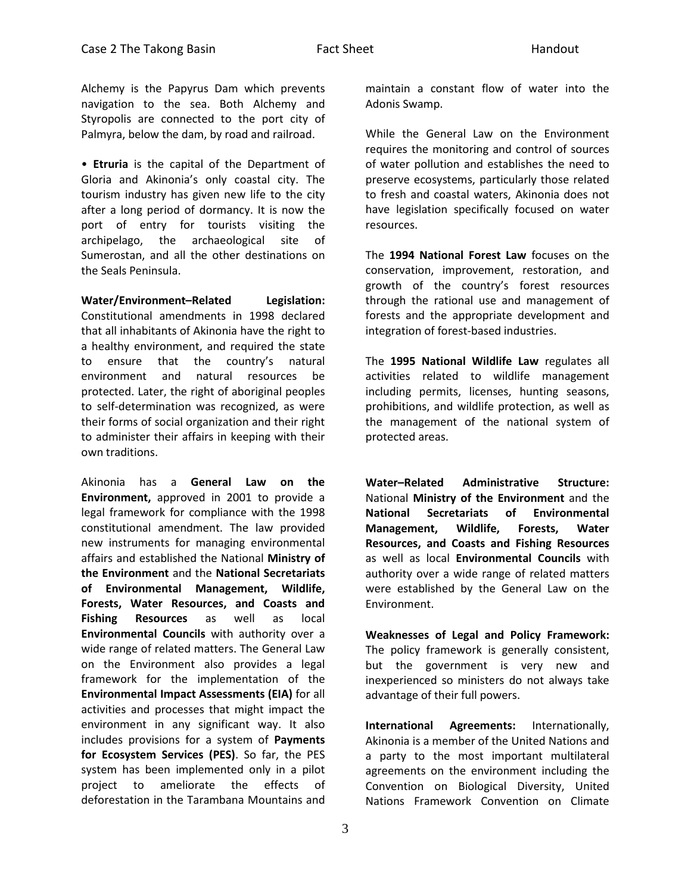Alchemy is the Papyrus Dam which prevents navigation to the sea. Both Alchemy and Styropolis are connected to the port city of Palmyra, below the dam, by road and railroad.

• **Etruria** is the capital of the Department of Gloria and Akinonia's only coastal city. The tourism industry has given new life to the city after a long period of dormancy. It is now the port of entry for tourists visiting the archipelago, the archaeological site of Sumerostan, and all the other destinations on the Seals Peninsula.

**Water/Environment–Related Legislation:** Constitutional amendments in 1998 declared that all inhabitants of Akinonia have the right to a healthy environment, and required the state to ensure that the country's natural environment and natural resources be protected. Later, the right of aboriginal peoples to self-determination was recognized, as were their forms of social organization and their right to administer their affairs in keeping with their own traditions.

Akinonia has a **General Law on the Environment,** approved in 2001 to provide a legal framework for compliance with the 1998 constitutional amendment. The law provided new instruments for managing environmental affairs and established the National **Ministry of the Environment** and the **National Secretariats of Environmental Management, Wildlife, Forests, Water Resources, and Coasts and Fishing Resources** as well as local **Environmental Councils** with authority over a wide range of related matters. The General Law on the Environment also provides a legal framework for the implementation of the **Environmental Impact Assessments (EIA)** for all activities and processes that might impact the environment in any significant way. It also includes provisions for a system of **Payments for Ecosystem Services (PES)**. So far, the PES system has been implemented only in a pilot project to ameliorate the effects of deforestation in the Tarambana Mountains and

maintain a constant flow of water into the Adonis Swamp.

While the General Law on the Environment requires the monitoring and control of sources of water pollution and establishes the need to preserve ecosystems, particularly those related to fresh and coastal waters, Akinonia does not have legislation specifically focused on water resources.

The **1994 National Forest Law** focuses on the conservation, improvement, restoration, and growth of the country's forest resources through the rational use and management of forests and the appropriate development and integration of forest-based industries.

The **1995 National Wildlife Law** regulates all activities related to wildlife management including permits, licenses, hunting seasons, prohibitions, and wildlife protection, as well as the management of the national system of protected areas.

**Water–Related Administrative Structure:**  National **Ministry of the Environment** and the **National Secretariats of Environmental Management, Wildlife, Forests, Water Resources, and Coasts and Fishing Resources** as well as local **Environmental Councils** with authority over a wide range of related matters were established by the General Law on the Environment.

**Weaknesses of Legal and Policy Framework:**  The policy framework is generally consistent, but the government is very new and inexperienced so ministers do not always take advantage of their full powers.

**International Agreements:** Internationally, Akinonia is a member of the United Nations and a party to the most important multilateral agreements on the environment including the Convention on Biological Diversity, United Nations Framework Convention on Climate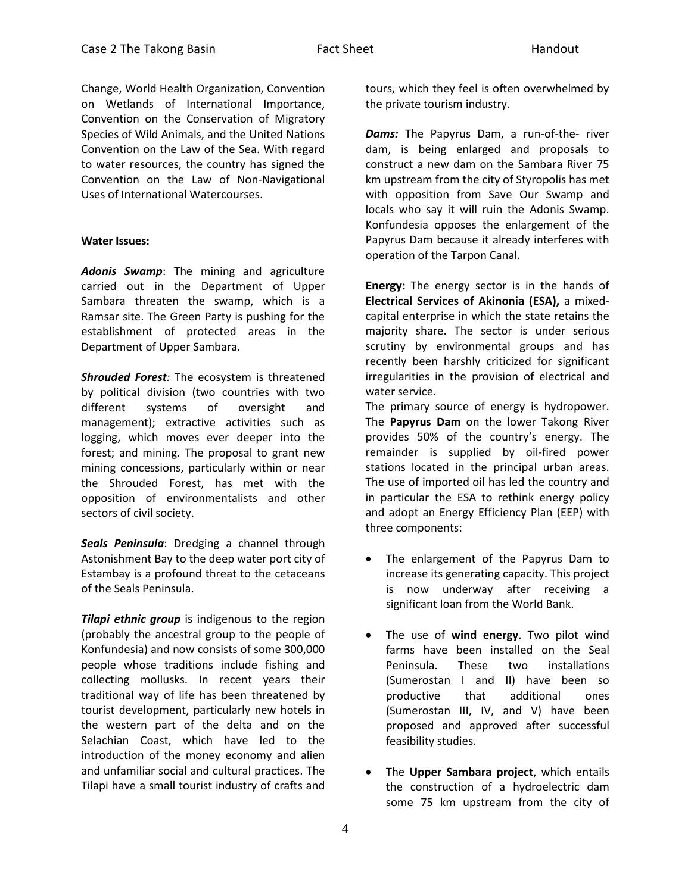Change, World Health Organization, Convention on Wetlands of International Importance, Convention on the Conservation of Migratory Species of Wild Animals, and the United Nations Convention on the Law of the Sea. With regard to water resources, the country has signed the Convention on the Law of Non-Navigational Uses of International Watercourses.

## **Water Issues:**

*Adonis Swamp*: The mining and agriculture carried out in the Department of Upper Sambara threaten the swamp, which is a Ramsar site. The Green Party is pushing for the establishment of protected areas in the Department of Upper Sambara.

*Shrouded Forest:* The ecosystem is threatened by political division (two countries with two different systems of oversight and management); extractive activities such as logging, which moves ever deeper into the forest; and mining. The proposal to grant new mining concessions, particularly within or near the Shrouded Forest, has met with the opposition of environmentalists and other sectors of civil society.

*Seals Peninsula*: Dredging a channel through Astonishment Bay to the deep water port city of Estambay is a profound threat to the cetaceans of the Seals Peninsula.

*Tilapi ethnic group* is indigenous to the region (probably the ancestral group to the people of Konfundesia) and now consists of some 300,000 people whose traditions include fishing and collecting mollusks. In recent years their traditional way of life has been threatened by tourist development, particularly new hotels in the western part of the delta and on the Selachian Coast, which have led to the introduction of the money economy and alien and unfamiliar social and cultural practices. The Tilapi have a small tourist industry of crafts and

tours, which they feel is often overwhelmed by the private tourism industry.

*Dams:* The Papyrus Dam, a run-of-the- river dam, is being enlarged and proposals to construct a new dam on the Sambara River 75 km upstream from the city of Styropolis has met with opposition from Save Our Swamp and locals who say it will ruin the Adonis Swamp. Konfundesia opposes the enlargement of the Papyrus Dam because it already interferes with operation of the Tarpon Canal.

**Energy:** The energy sector is in the hands of **Electrical Services of Akinonia (ESA),** a mixedcapital enterprise in which the state retains the majority share. The sector is under serious scrutiny by environmental groups and has recently been harshly criticized for significant irregularities in the provision of electrical and water service.

The primary source of energy is hydropower. The **Papyrus Dam** on the lower Takong River provides 50% of the country's energy. The remainder is supplied by oil-fired power stations located in the principal urban areas. The use of imported oil has led the country and in particular the ESA to rethink energy policy and adopt an Energy Efficiency Plan (EEP) with three components:

- The enlargement of the Papyrus Dam to increase its generating capacity. This project is now underway after receiving a significant loan from the World Bank.
- The use of **wind energy**. Two pilot wind farms have been installed on the Seal Peninsula. These two installations (Sumerostan I and II) have been so productive that additional ones (Sumerostan III, IV, and V) have been proposed and approved after successful feasibility studies.
- The **Upper Sambara project**, which entails the construction of a hydroelectric dam some 75 km upstream from the city of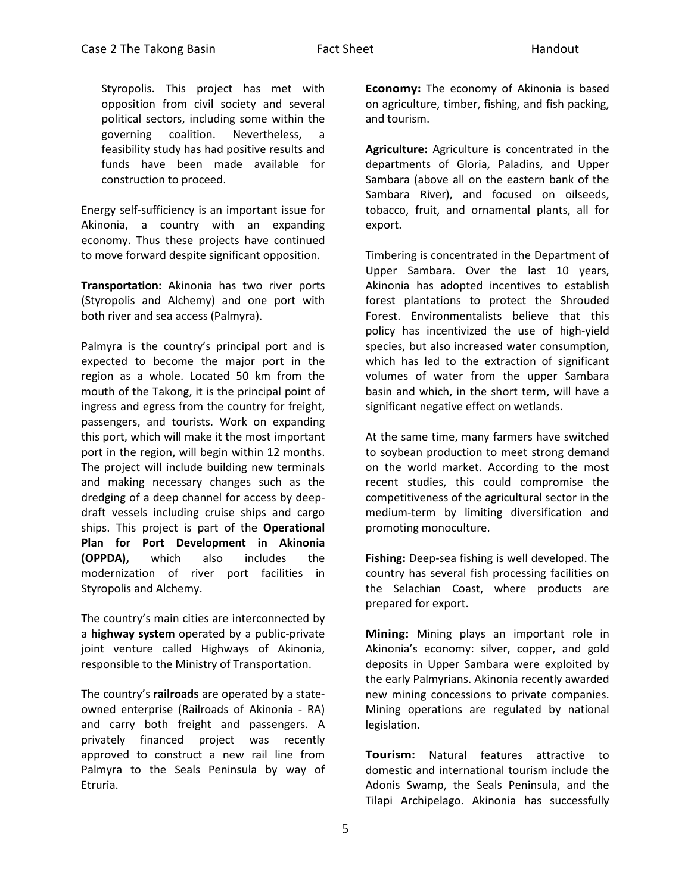Styropolis. This project has met with opposition from civil society and several political sectors, including some within the governing coalition. Nevertheless, a feasibility study has had positive results and funds have been made available for construction to proceed.

Energy self-sufficiency is an important issue for Akinonia, a country with an expanding economy. Thus these projects have continued to move forward despite significant opposition.

**Transportation:** Akinonia has two river ports (Styropolis and Alchemy) and one port with both river and sea access (Palmyra).

Palmyra is the country's principal port and is expected to become the major port in the region as a whole. Located 50 km from the mouth of the Takong, it is the principal point of ingress and egress from the country for freight, passengers, and tourists. Work on expanding this port, which will make it the most important port in the region, will begin within 12 months. The project will include building new terminals and making necessary changes such as the dredging of a deep channel for access by deepdraft vessels including cruise ships and cargo ships. This project is part of the **Operational Plan for Port Development in Akinonia (OPPDA),** which also includes the modernization of river port facilities in Styropolis and Alchemy.

The country's main cities are interconnected by a **highway system** operated by a public-private joint venture called Highways of Akinonia, responsible to the Ministry of Transportation.

The country's **railroads** are operated by a stateowned enterprise (Railroads of Akinonia - RA) and carry both freight and passengers. A privately financed project was recently approved to construct a new rail line from Palmyra to the Seals Peninsula by way of Etruria.

**Economy:** The economy of Akinonia is based on agriculture, timber, fishing, and fish packing, and tourism.

**Agriculture:** Agriculture is concentrated in the departments of Gloria, Paladins, and Upper Sambara (above all on the eastern bank of the Sambara River), and focused on oilseeds, tobacco, fruit, and ornamental plants, all for export.

Timbering is concentrated in the Department of Upper Sambara. Over the last 10 years, Akinonia has adopted incentives to establish forest plantations to protect the Shrouded Forest. Environmentalists believe that this policy has incentivized the use of high-yield species, but also increased water consumption, which has led to the extraction of significant volumes of water from the upper Sambara basin and which, in the short term, will have a significant negative effect on wetlands.

At the same time, many farmers have switched to soybean production to meet strong demand on the world market. According to the most recent studies, this could compromise the competitiveness of the agricultural sector in the medium-term by limiting diversification and promoting monoculture.

**Fishing:** Deep-sea fishing is well developed. The country has several fish processing facilities on the Selachian Coast, where products are prepared for export.

**Mining:** Mining plays an important role in Akinonia's economy: silver, copper, and gold deposits in Upper Sambara were exploited by the early Palmyrians. Akinonia recently awarded new mining concessions to private companies. Mining operations are regulated by national legislation.

**Tourism:** Natural features attractive to domestic and international tourism include the Adonis Swamp, the Seals Peninsula, and the Tilapi Archipelago. Akinonia has successfully